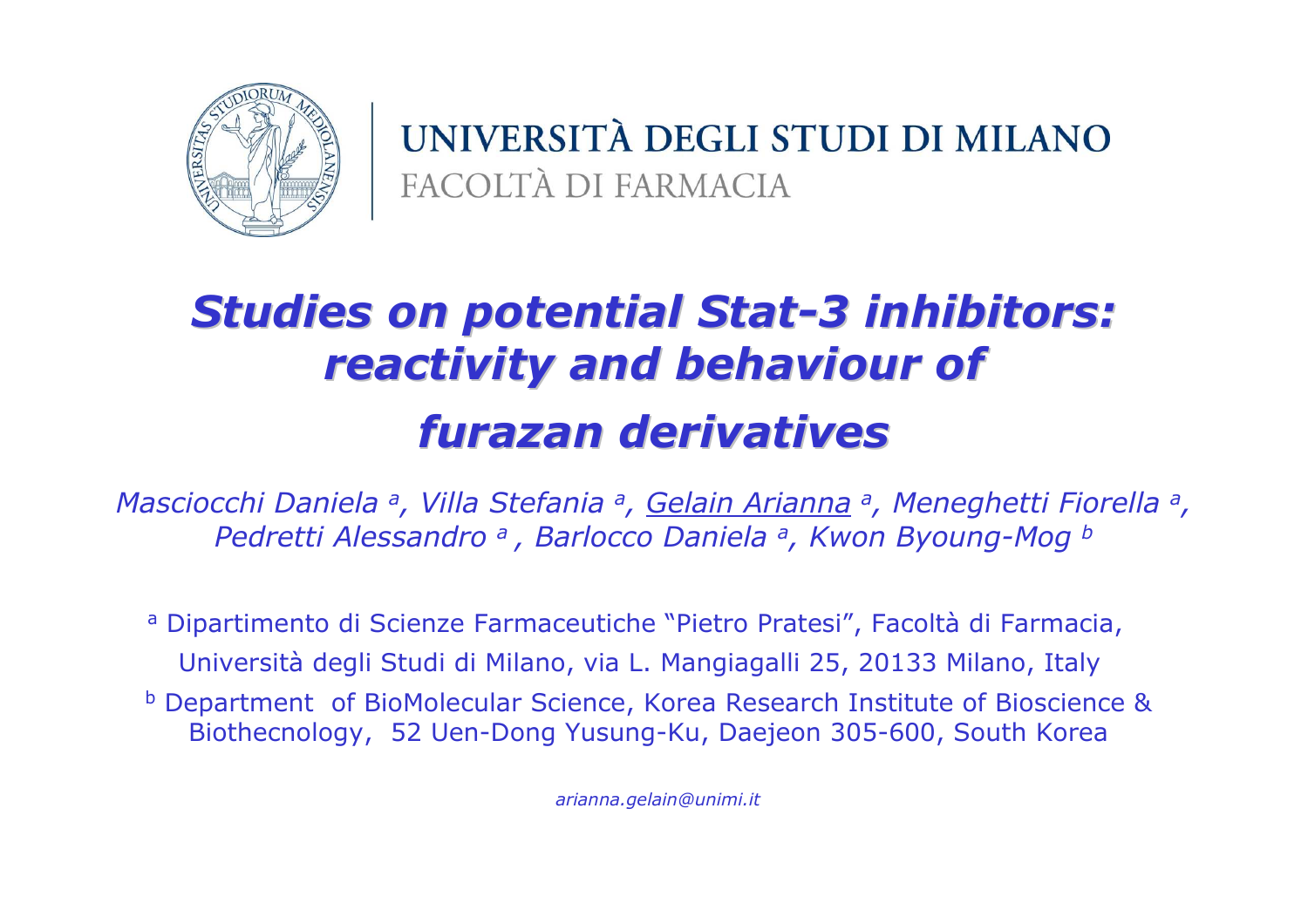

UNIVERSITÀ DEGLI STUDI DI MILANO FACOLTÀ DI FARMACIA

# Studies on potential Stat-3 inhibitors: reactivity and behaviour of furazan derivatives

Masciocchi Daniela <sup>a</sup>, Villa Stefania <sup>a</sup>, Gelain Arianna a, Meneghetti Fiorella a, Pedretti Alessandro a, Barlocco Daniela a, Kwon Byoung-Mog b

a Dipartimento di Scienze Farmaceutiche "Pietro Pratesi", Facoltà di Farmacia,<br>1996 - Carlo Barriotti, printetta di Santo Carlo Barriotti di Santo Presso della Regione delle Santo Università degli Studi di Milano, via L. Mangiagalli 25, 20133 Milano, Italy

b Department of BioMolecular Science, Korea Research Institute of Bioscience &<br>Biothecnology 52 Uen-Dong Yusung-Ku, Daejeon 305-600 South Korea Biothecnology, 52 Uen-Dong Yusung-Ku, Daejeon 305-600, South Korea

arianna.gelain@unimi.it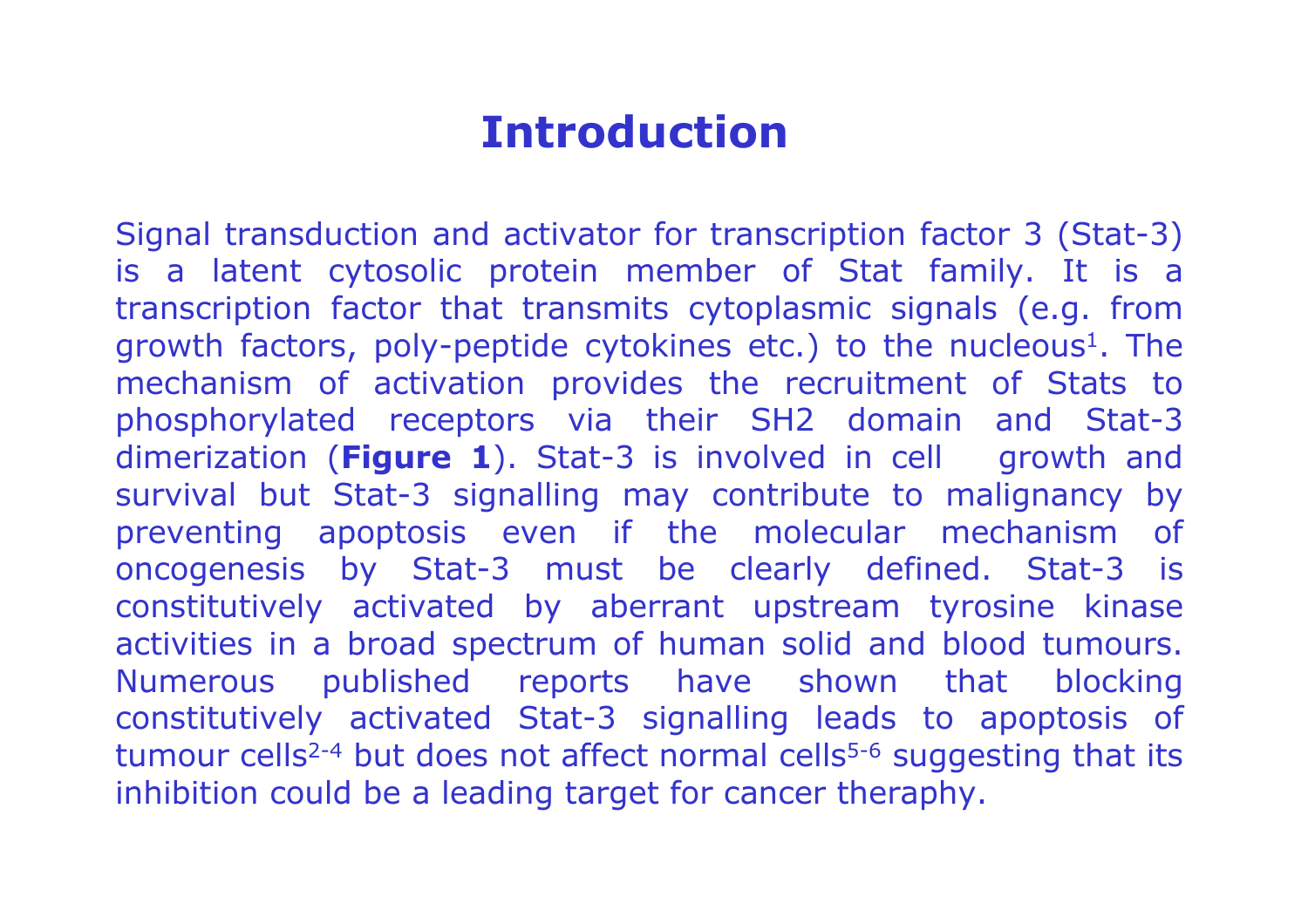#### Introduction

Signal transduction and activator for transcription factor 3 (Stat-3) is a latent cytosolic protein member of Stat family. It is <sup>a</sup> transcription factor that transmits cytoplasmic signals (e.g. from growth factors, poly-peptide cytokines etc.) to the nucleous 1. The mechanism of activation provides the recruitment of Stats to<br>phosphorylated recentors via their SH2 domain and Stat-3 phosphorylated receptors via their SH2 domain and Stat-3 dimerization (Figure 1). Stat-3 is involved in cell growth and survival but Stat-3 signalling may contribute to malignancy by preventing apoptosis even if the molecular mechanism of oncogenesis by Stat-3 must be clearly defined. Stat-3 is constitutively activated by aberrant upstream tyrosine kinase activities in a broad spectrum of human solid and blood tumours. Numerous published reports have shown that blocking constitutively activated Stat-3 signalling leads to apoptosis of tumour cells<sup>2-4</sup> but does not affect normal cells<sup>5-6</sup> suggesting that its inhibition could be a leading target for cancer theraphy.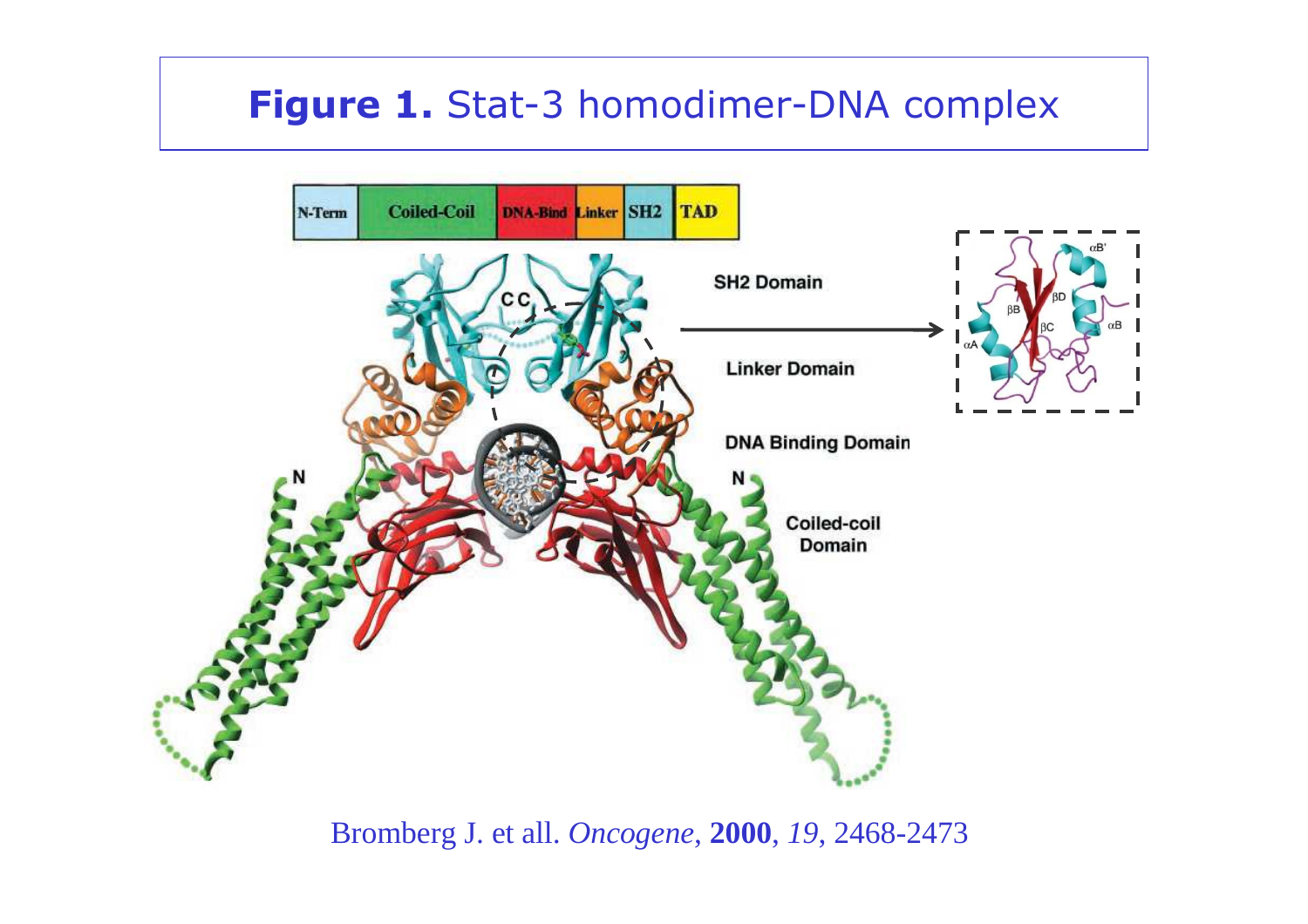#### Figure 1. Stat-3 homodimer-DNA complex



Bromberg J. et all. *Oncogene*, **2000**, *19*, 2468-2473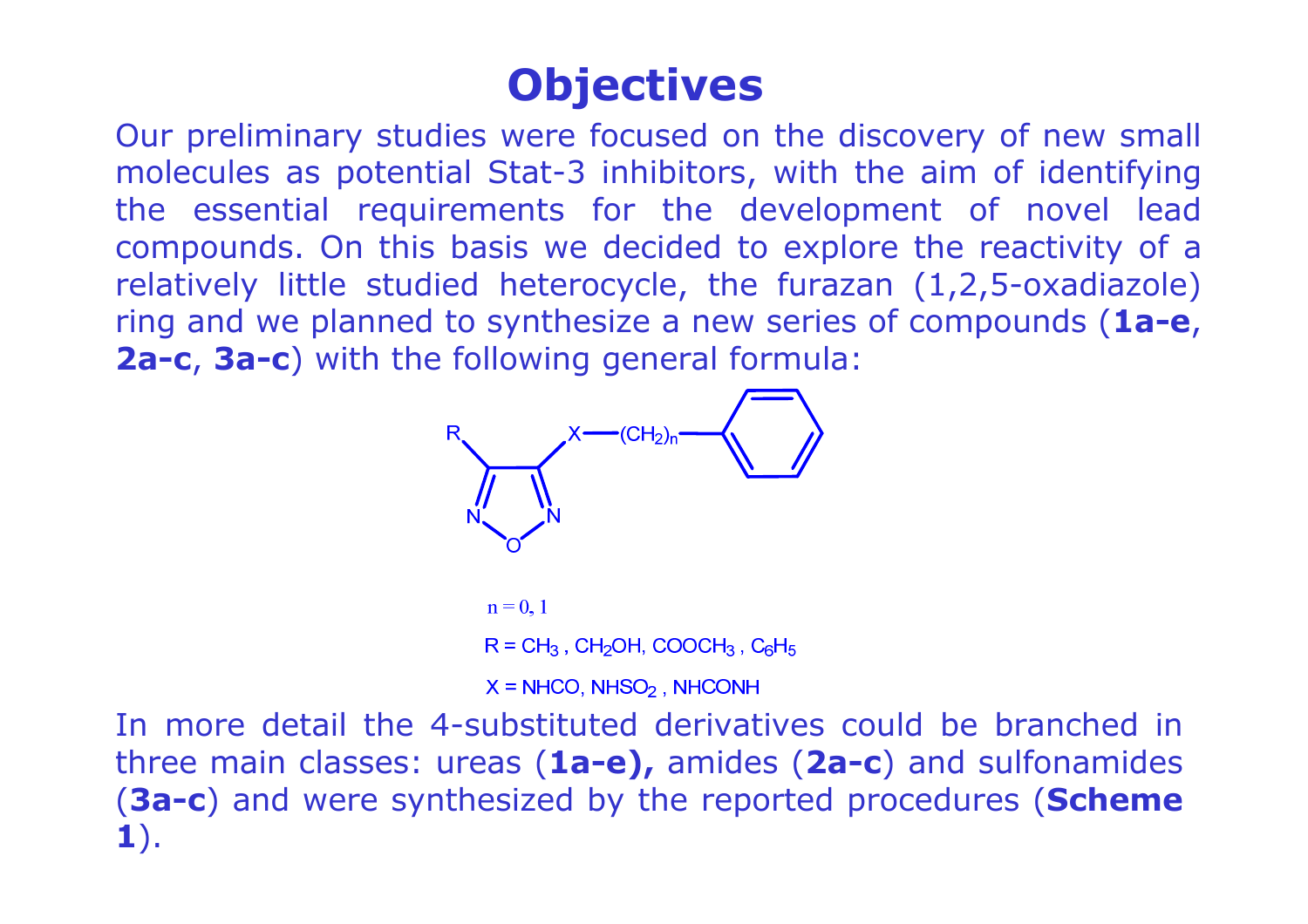## **Objectives**

Our preliminary studies were focused on the discovery of new small molecules as potential Stat-3 inhibitors, with the aim of identifying the essential requirements for the development of novel lead compounds. On this basis we decided to explore the reactivity of a relatively little studied heterocycle, the furazan (1,2,5-oxadiazole) ring and we planned to synthesize a new series of compounds  $(1a-e,$ 2a-c, 3a-c) with the following general formula:



 $R = CH_3$ , CH<sub>2</sub>OH, COOCH<sub>3</sub>, C<sub>6</sub>H<sub>5</sub>

 $X = NHCO, NHSO<sub>2</sub>, NHCOMH$ 

In more detail the 4-substituted derivatives could be branched in three main classes: ureas  $(1a-e)$ , amides  $(2a-c)$  and sulfonamides (3a-c) and were synthesized by the reported procedures (Scheme 1).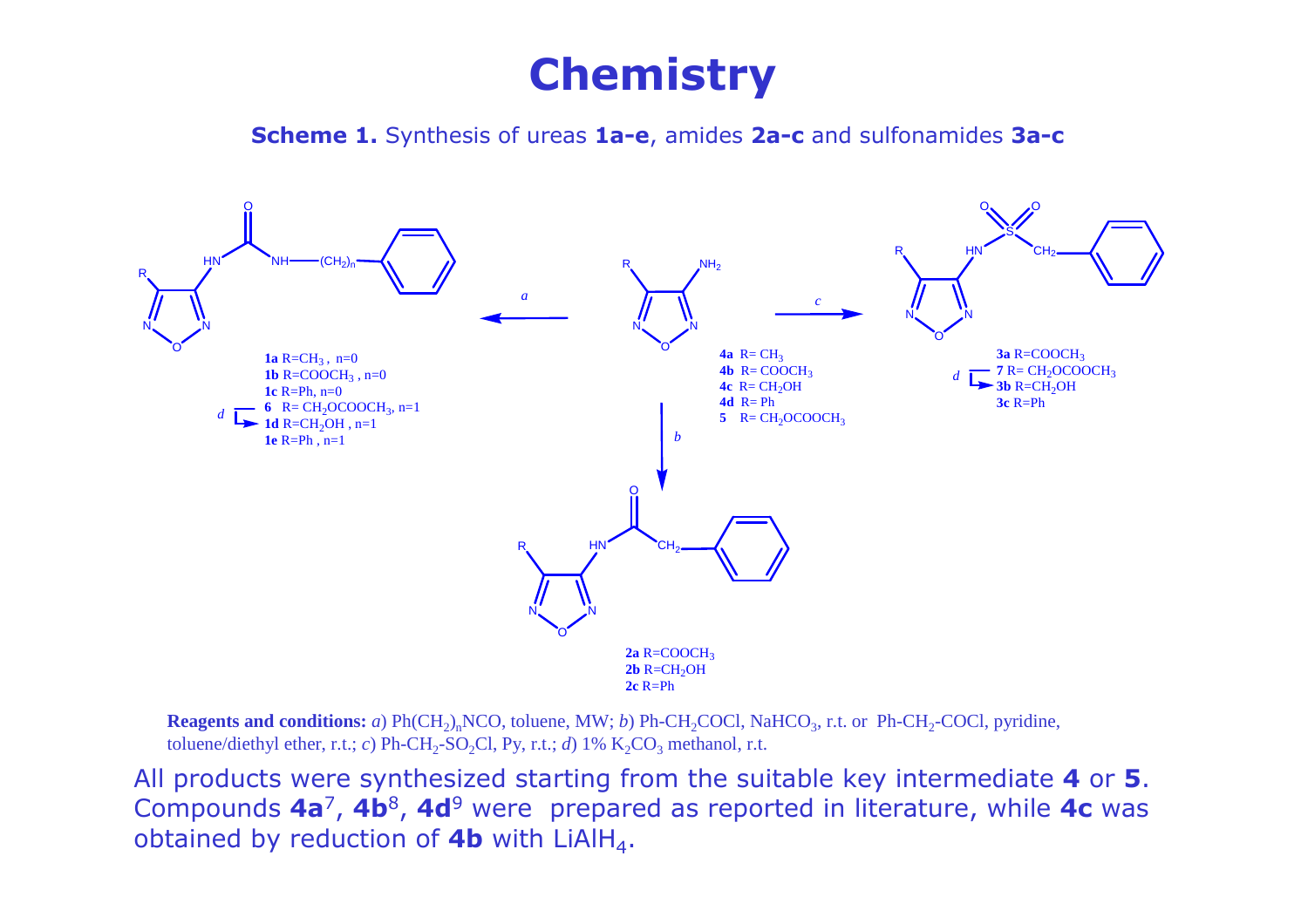### **Chemistry**

Scheme 1. Synthesis of ureas 1a-e, amides 2a-c and sulfonamides 3a-c



**Reagents and conditions:** *a*) Ph(CH<sub>2</sub>)<sub>n</sub>NCO, toluene, MW; *b*) Ph-CH<sub>2</sub>COCl, NaHCO<sub>3</sub>, r.t. or Ph-CH<sub>2</sub>-COCl, pyridine, toluene/diethyl ether, r.t.; *c*) Ph-CH<sub>2</sub>-SO<sub>2</sub>Cl, Py, r.t.; *d*) 1%  $K_2CO_3$  methanol, r.t.

All products were synthesized starting from the suitable key intermediate 4 or 5. Compounds 4a<sup>7</sup>, 4b<sup>8</sup>, 4d<sup>9</sup> were prepared as reported in literature, while 4c was<br>obtained by reduction of 4b with LiAIH. obtained by reduction of **4b** with LiAlH<sub>4</sub>.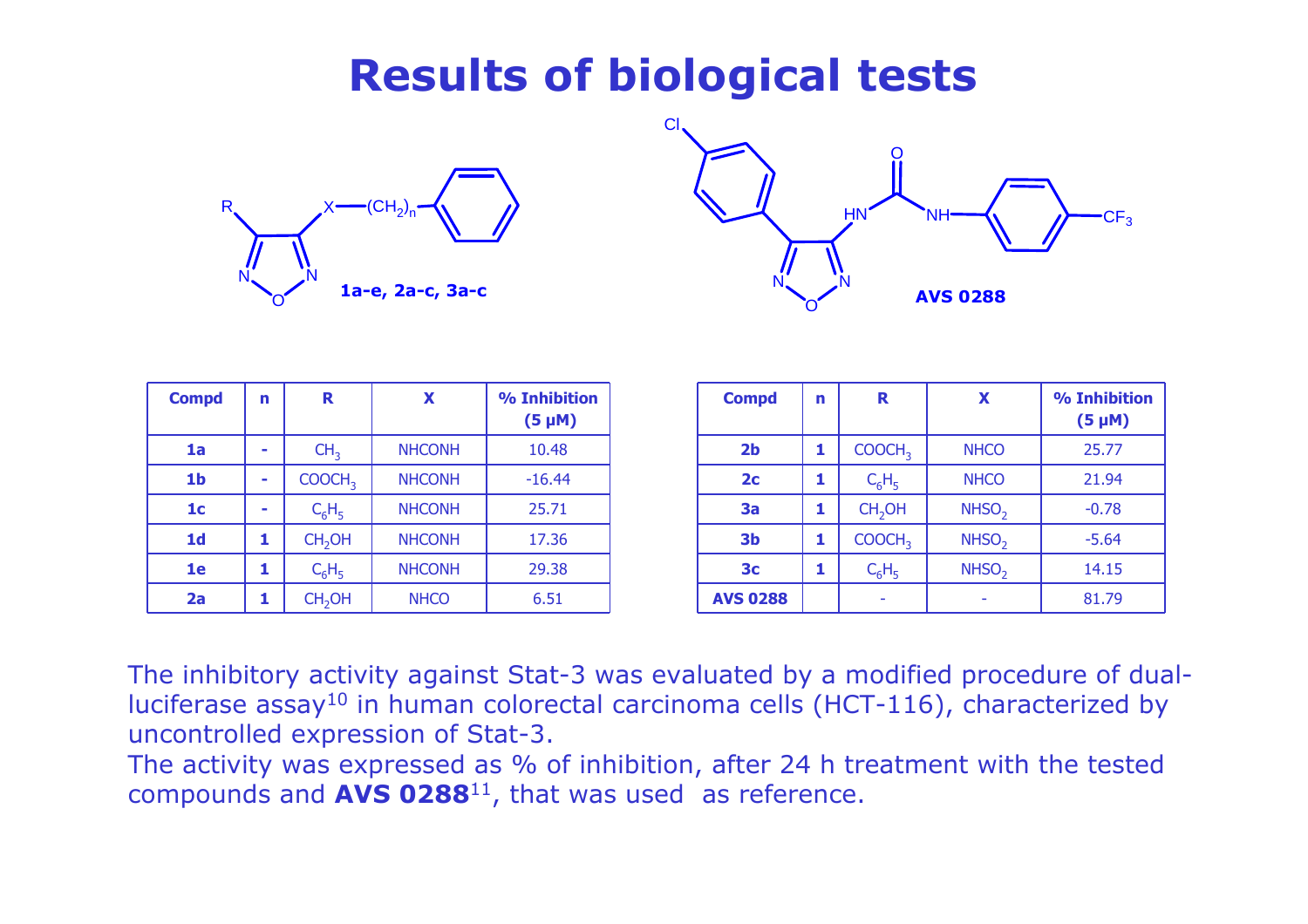### Results of biological tests





| <b>Compd</b>   | n | R                  | X             | % Inhibition<br>$(5 \mu M)$ | <b>Compd</b>    |
|----------------|---|--------------------|---------------|-----------------------------|-----------------|
| 1a             | ۰ | CH <sub>3</sub>    | <b>NHCONH</b> | 10.48                       | 2 <sub>b</sub>  |
| 1 <sub>b</sub> | - | COOCH <sub>3</sub> | <b>NHCONH</b> | $-16.44$                    | 2 <sub>c</sub>  |
| 1 <sub>c</sub> | ۰ | $C_6H_5$           | <b>NHCONH</b> | 25.71                       | 3a              |
| 1 <sub>d</sub> | 1 | CH <sub>2</sub> OH | <b>NHCONH</b> | 17.36                       | 3 <sub>b</sub>  |
| 1e             | 1 | $C_6H_5$           | <b>NHCONH</b> | 29.38                       | 3 <sub>c</sub>  |
| 2a             | 1 | CH <sub>2</sub> OH | <b>NHCO</b>   | 6.51                        | <b>AVS 0288</b> |

| <b>Compd</b>    | n | R                  | X                 | % Inhibition<br>$(5 \mu M)$ |
|-----------------|---|--------------------|-------------------|-----------------------------|
| 2 <sub>b</sub>  | 1 | COOCH <sub>3</sub> | <b>NHCO</b>       | 25.77                       |
| 2 <sub>c</sub>  |   | $C_6H_5$           | <b>NHCO</b>       | 21.94                       |
| 3a              | 1 | CH <sub>2</sub> OH | NHSO <sub>2</sub> | $-0.78$                     |
| 3 <sub>b</sub>  | 1 | COOCH <sub>3</sub> | NHSO <sub>2</sub> | $-5.64$                     |
| 3 <sub>c</sub>  | 1 | $C_6H_5$           | NHSO <sub>2</sub> | 14.15                       |
| <b>AVS 0288</b> |   |                    |                   | 81.79                       |

The inhibitory activity against Stat-3 was evaluated by a modified procedure of dualluciferase assay<sup>10</sup> in human colorectal carcinoma cells (HCT-116), characterized by uncontrolled expression of Stat-3.

The activity was expressed as % of inhibition, after 24 h treatment with the tested compounds and  $AVS$  0288<sup>11</sup>, that was used as reference.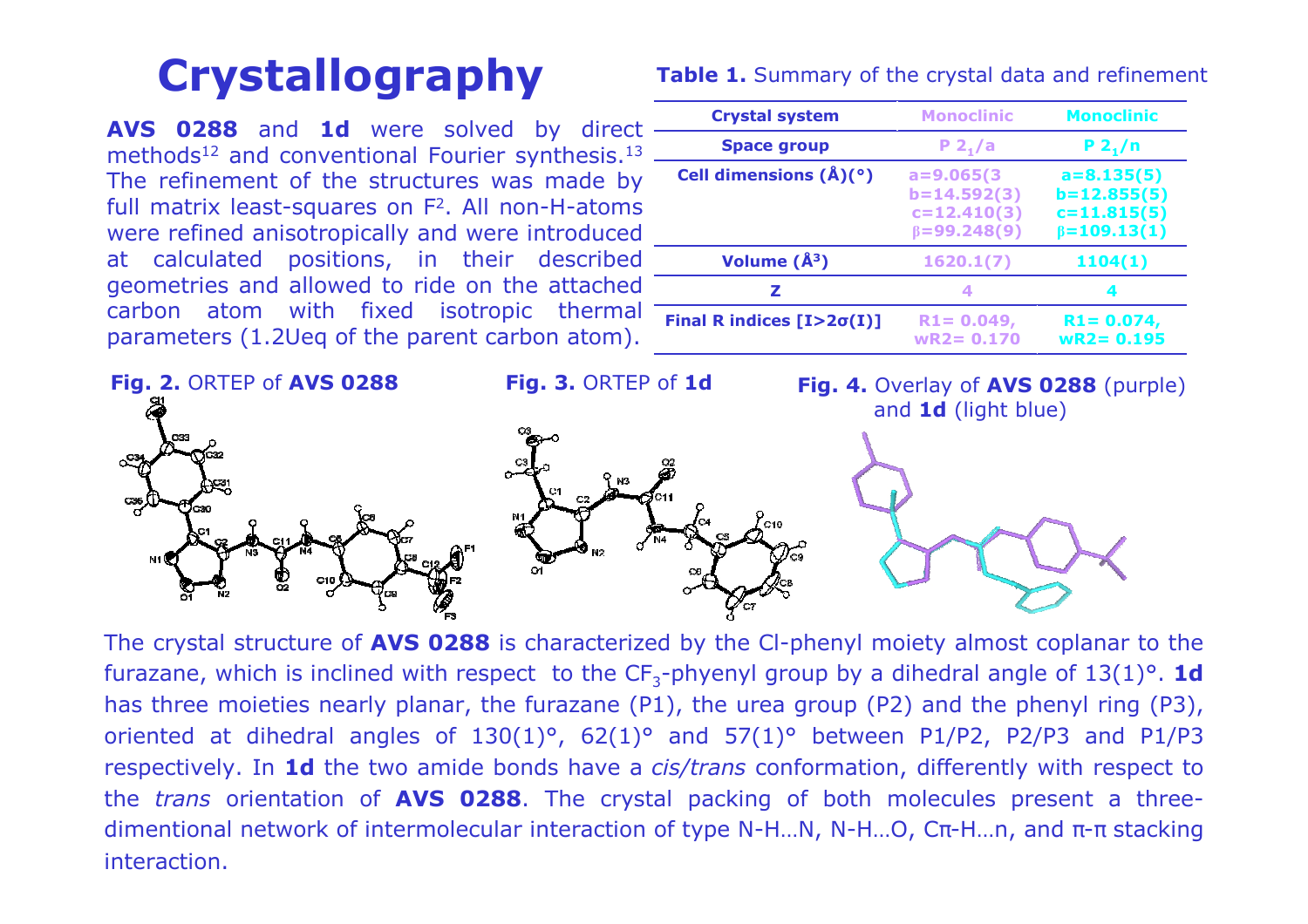## Crystallography

**AVS 0288** and **1d** were solved by direct methods $^{12}$  and conventional Fourier synthesis. $^{13}$ The refinement of the structures was made by full matrix least-squares on F<sup>2</sup>. All non-H-atoms were refined anisotropically and were introduced<br>at calculated positions, in their described at calculated positions, in their described geometries and allowed to ride on the attached carbon atom with fixed isotropic thermal parameters (1.2Ueq of the parent carbon atom).

| <b>Crystal system</b>                | <b>Monoclinic</b>                                | <b>Monoclinic</b>                                |
|--------------------------------------|--------------------------------------------------|--------------------------------------------------|
| <b>Space group</b>                   | $P_2/ a$                                         | $P_2/n$                                          |
| Cell dimensions $(\hat{A})(\degree)$ | $a = 9.065(3)$<br>$b=14.592(3)$<br>$c=12.410(3)$ | $a = 8.135(5)$<br>$b=12.855(5)$<br>$c=11.815(5)$ |
|                                      | $\beta = 99.248(9)$                              | $\beta = 109.13(1)$                              |
| Volume $(\AA^3)$                     | 1620.1(7)                                        | 1104(1)                                          |
| 7                                    | ◢                                                |                                                  |
| Final R indices $[I>2\sigma(I)]$     | $R1 = 0.049,$<br>$wR2 = 0.170$                   | $R1 = 0.074,$<br>$wR2 = 0.195$                   |



The crystal structure of AVS 0288 is characterized by the CI-phenyl moiety almost coplanar to the furazane, which is inclined with respect to the  $CF_3$ -phyenyl group by a dihedral angle of  $13(1)^\circ$ . **1d** has three moieties nearly planar, the furazane (P1), the urea group (P2) and the phenyl ring (P3), oriented at dihedral angles of  $130(1)^\circ$ ,  $62(1)^\circ$  and  $57(1)^\circ$  between P1/P2, P2/P3 and P1/P3 respectively. In **1d** the two amide bonds have a *cis/trans* conformation, differently with respect to the *trans* orientation of AVS 0288. The crystal packing of both molecules present a three-<br>dimentional naturals of intermelecular interaction of tune NHL NLNH O Go-H in and a cataoling dimentional network of intermolecular interaction of type N-H...N, N-H...O,  $C_{\pi}$ -H...n, and  $\pi$ - $\pi$  stacking interaction.

#### Table 1. Summary of the crystal data and refinement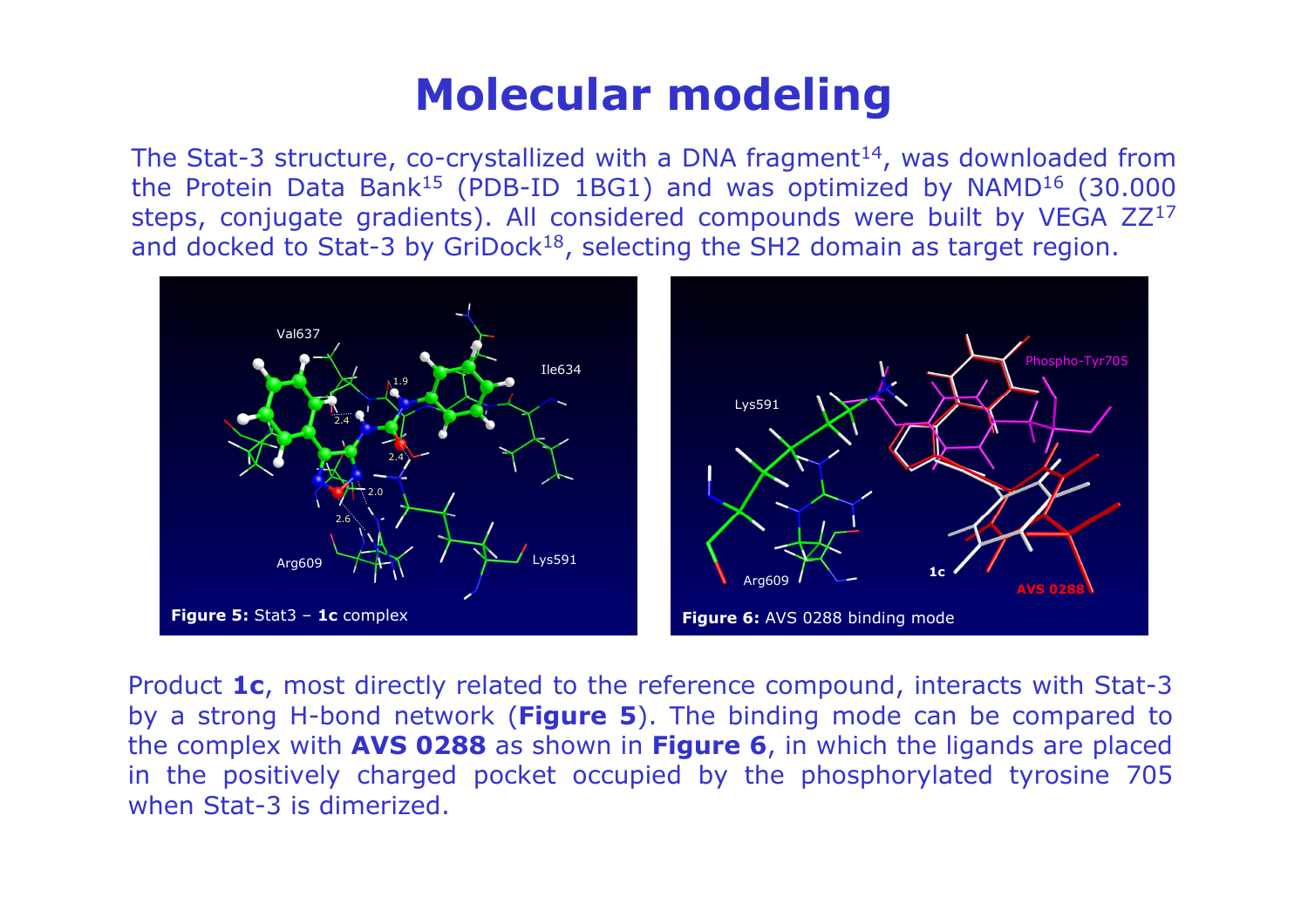#### Molecular modeling

The Stat-3 structure, co-crystallized with a DNA fragment<sup>14</sup>, was downloaded from the Protein Data Bank<sup>15</sup> (PDB-ID 1BG1) and was optimized by NAMD<sup>16</sup> (30.000) steps, conjugate gradients). All considered compounds were built by VEGA ZZ<sup>17</sup><br>and docked to Stat-3 by GriDock<sup>18</sup>, selecting the SH2 domain as target region and docked to Stat-3 by GriDock<sup>18</sup>, selecting the SH2 domain as target region.



Product 1c, most directly related to the reference compound, interacts with Stat-3 by a strong H-bond network (Figure 5). The binding mode can be compared to the complex with **AVS 0288** as shown in **Figure 6**, in which the ligands are placed in the positively charged pocket occupied by the phosphorylated tyrosine 705 when Stat-3 is dimerized.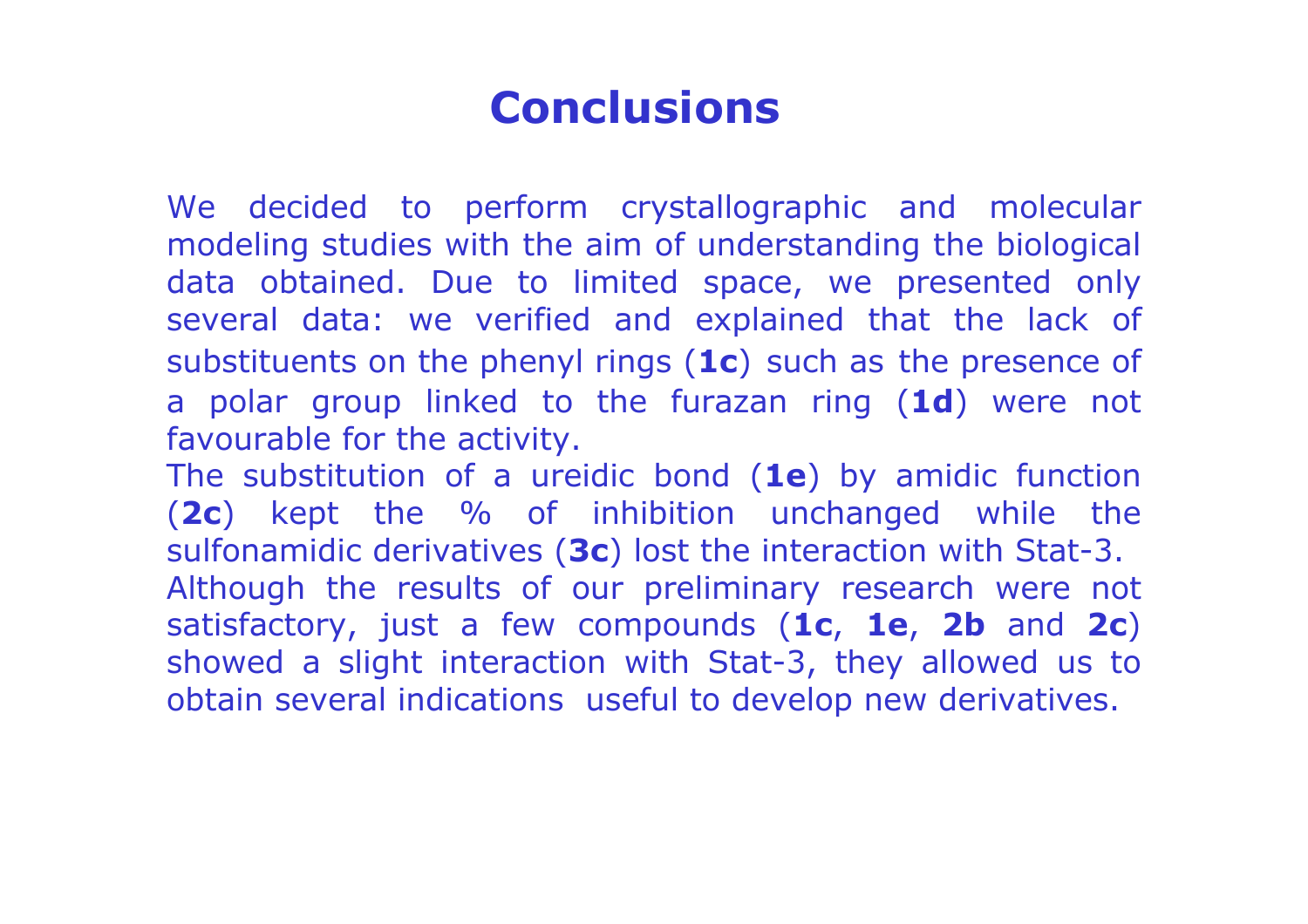#### **Conclusions**

We decided to perform crystallographic and molecular modeling studies with the aim of understanding the biological data obtained. Due to limited space, we presented only several data: we verified and explained that the lack of substituents on the phenyl rings (1c) such as the presence of a polar group linked to the furazan ring  $(1d)$  were not favourable for the activity.

The substitution of a ureidic bond  $(1e)$  by amidic function (2c) kept the % of inhibition unchanged while the sulfonamidic derivatives (3c) lost the interaction with Stat-3. Although the results of our preliminary research were not satisfactory, just a few compounds (1c, 1e, 2b and 2c) showed a slight interaction with Stat-3, they allowed us to obtain several indications useful to develop new derivatives.